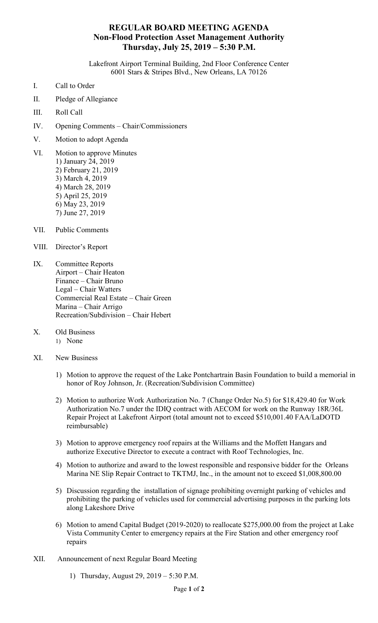## **REGULAR BOARD MEETING AGENDA Non-Flood Protection Asset Management Authority Thursday, July 25, 2019 – 5:30 P.M.**

Lakefront Airport Terminal Building, 2nd Floor Conference Center 6001 Stars & Stripes Blvd., New Orleans, LA 70126

- I. Call to Order
- II. Pledge of Allegiance
- III. Roll Call
- IV. Opening Comments Chair/Commissioners
- V. Motion to adopt Agenda
- VI. Motion to approve Minutes 1) January 24, 2019 2) February 21, 2019 3) March 4, 2019 4) March 28, 2019 5) April 25, 2019 6) May 23, 2019 7) June 27, 2019
- VII. Public Comments
- VIII. Director's Report
- IX. Committee Reports Airport – Chair Heaton Finance – Chair Bruno Legal – Chair Watters Commercial Real Estate – Chair Green Marina – Chair Arrigo Recreation/Subdivision – Chair Hebert
- X. Old Business 1) None
- XI. New Business
	- 1) Motion to approve the request of the Lake Pontchartrain Basin Foundation to build a memorial in honor of Roy Johnson, Jr. (Recreation/Subdivision Committee)
	- 2) Motion to authorize Work Authorization No. 7 (Change Order No.5) for \$18,429.40 for Work Authorization No.7 under the IDIQ contract with AECOM for work on the Runway 18R/36L Repair Project at Lakefront Airport (total amount not to exceed \$510,001.40 FAA/LaDOTD reimbursable)
	- 3) Motion to approve emergency roof repairs at the Williams and the Moffett Hangars and authorize Executive Director to execute a contract with Roof Technologies, Inc.
	- 4) Motion to authorize and award to the lowest responsible and responsive bidder for the Orleans Marina NE Slip Repair Contract to TKTMJ, Inc., in the amount not to exceed \$1,008,800.00
	- 5) Discussion regarding the installation of signage prohibiting overnight parking of vehicles and prohibiting the parking of vehicles used for commercial advertising purposes in the parking lots along Lakeshore Drive
	- 6) Motion to amend Capital Budget (2019-2020) to reallocate \$275,000.00 from the project at Lake Vista Community Center to emergency repairs at the Fire Station and other emergency roof repairs
- XII. Announcement of next Regular Board Meeting
	- 1) Thursday, August 29, 2019 5:30 P.M.